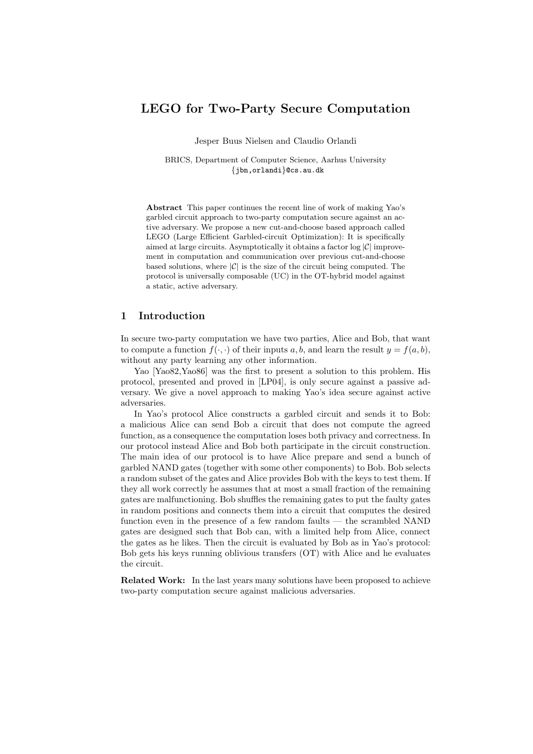# LEGO for Two-Party Secure Computation

Jesper Buus Nielsen and Claudio Orlandi

BRICS, Department of Computer Science, Aarhus University {jbn,orlandi}@cs.au.dk

Abstract This paper continues the recent line of work of making Yao's garbled circuit approach to two-party computation secure against an active adversary. We propose a new cut-and-choose based approach called LEGO (Large Efficient Garbled-circuit Optimization): It is specifically aimed at large circuits. Asymptotically it obtains a factor  $log |\mathcal{C}|$  improvement in computation and communication over previous cut-and-choose based solutions, where  $|\mathcal{C}|$  is the size of the circuit being computed. The protocol is universally composable (UC) in the OT-hybrid model against a static, active adversary.

### 1 Introduction

In secure two-party computation we have two parties, Alice and Bob, that want to compute a function  $f(\cdot, \cdot)$  of their inputs a, b, and learn the result  $y = f(a, b)$ , without any party learning any other information.

Yao [Yao82,Yao86] was the first to present a solution to this problem. His protocol, presented and proved in [LP04], is only secure against a passive adversary. We give a novel approach to making Yao's idea secure against active adversaries.

In Yao's protocol Alice constructs a garbled circuit and sends it to Bob: a malicious Alice can send Bob a circuit that does not compute the agreed function, as a consequence the computation loses both privacy and correctness. In our protocol instead Alice and Bob both participate in the circuit construction. The main idea of our protocol is to have Alice prepare and send a bunch of garbled NAND gates (together with some other components) to Bob. Bob selects a random subset of the gates and Alice provides Bob with the keys to test them. If they all work correctly he assumes that at most a small fraction of the remaining gates are malfunctioning. Bob shuffles the remaining gates to put the faulty gates in random positions and connects them into a circuit that computes the desired function even in the presence of a few random faults — the scrambled NAND gates are designed such that Bob can, with a limited help from Alice, connect the gates as he likes. Then the circuit is evaluated by Bob as in Yao's protocol: Bob gets his keys running oblivious transfers (OT) with Alice and he evaluates the circuit.

Related Work: In the last years many solutions have been proposed to achieve two-party computation secure against malicious adversaries.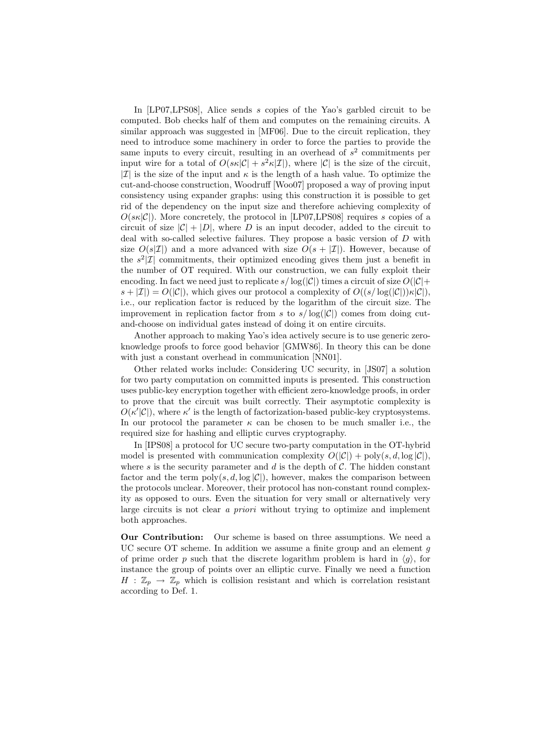In [LP07,LPS08], Alice sends s copies of the Yao's garbled circuit to be computed. Bob checks half of them and computes on the remaining circuits. A similar approach was suggested in [MF06]. Due to the circuit replication, they need to introduce some machinery in order to force the parties to provide the same inputs to every circuit, resulting in an overhead of  $s^2$  commitments per input wire for a total of  $O(s\kappa|\mathcal{C}| + s^2\kappa|\mathcal{I}|)$ , where  $|\mathcal{C}|$  is the size of the circuit, | $\mathcal{I}$ | is the size of the input and  $\kappa$  is the length of a hash value. To optimize the cut-and-choose construction, Woodruff [Woo07] proposed a way of proving input consistency using expander graphs: using this construction it is possible to get rid of the dependency on the input size and therefore achieving complexity of  $O(s\kappa|\mathcal{C}|)$ . More concretely, the protocol in [LP07,LPS08] requires s copies of a circuit of size  $|\mathcal{C}| + |D|$ , where D is an input decoder, added to the circuit to deal with so-called selective failures. They propose a basic version of D with size  $O(s|\mathcal{I}|)$  and a more advanced with size  $O(s + |\mathcal{I}|)$ . However, because of the  $s^2|\mathcal{I}|$  commitments, their optimized encoding gives them just a benefit in the number of OT required. With our construction, we can fully exploit their encoding. In fact we need just to replicate  $s/\log(|\mathcal{C}|)$  times a circuit of size  $O(|\mathcal{C}|+$  $s + |\mathcal{I}| = O(|\mathcal{C}|)$ , which gives our protocol a complexity of  $O((s/\log(|\mathcal{C}|))\kappa|\mathcal{C}|)$ , i.e., our replication factor is reduced by the logarithm of the circuit size. The improvement in replication factor from s to  $s/\log(|\mathcal{C}|)$  comes from doing cutand-choose on individual gates instead of doing it on entire circuits.

Another approach to making Yao's idea actively secure is to use generic zeroknowledge proofs to force good behavior [GMW86]. In theory this can be done with just a constant overhead in communication [NN01].

Other related works include: Considering UC security, in [JS07] a solution for two party computation on committed inputs is presented. This construction uses public-key encryption together with efficient zero-knowledge proofs, in order to prove that the circuit was built correctly. Their asymptotic complexity is  $O(\kappa'|\mathcal{C}|)$ , where  $\kappa'$  is the length of factorization-based public-key cryptosystems. In our protocol the parameter  $\kappa$  can be chosen to be much smaller i.e., the required size for hashing and elliptic curves cryptography.

In [IPS08] a protocol for UC secure two-party computation in the OT-hybrid model is presented with communication complexity  $O(|\mathcal{C}|) + \text{poly}(s, d, \log |\mathcal{C}|)$ , where s is the security parameter and d is the depth of  $\mathcal{C}$ . The hidden constant factor and the term  $\text{poly}(s, d, \log |\mathcal{C}|)$ , however, makes the comparison between the protocols unclear. Moreover, their protocol has non-constant round complexity as opposed to ours. Even the situation for very small or alternatively very large circuits is not clear a priori without trying to optimize and implement both approaches.

Our Contribution: Our scheme is based on three assumptions. We need a UC secure OT scheme. In addition we assume a finite group and an element  $q$ of prime order p such that the discrete logarithm problem is hard in  $\langle g \rangle$ , for instance the group of points over an elliptic curve. Finally we need a function  $H : \mathbb{Z}_p \to \mathbb{Z}_p$  which is collision resistant and which is correlation resistant according to Def. 1.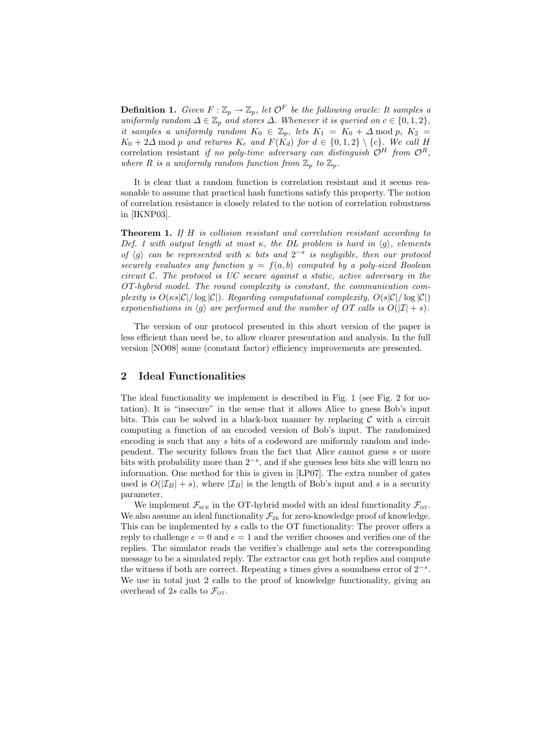**Definition 1.** Given  $F : \mathbb{Z}_p \to \mathbb{Z}_p$ , let  $\mathcal{O}^F$  be the following oracle: It samples a uniformly random  $\Delta \in \mathbb{Z}_p$  and stores  $\Delta$ . Whenever it is queried on  $c \in \{0, 1, 2\}$ , it samples a uniformly random  $K_0 \in \mathbb{Z}_p$ , lets  $K_1 = K_0 + \Delta \mod p$ ,  $K_2 =$  $K_0 + 2\Delta \mod p$  and returns  $K_c$  and  $F(K_d)$  for  $d \in \{0,1,2\} \setminus \{c\}$ . We call H correlation resistant if no poly-time adversary can distinguish  $\mathcal{O}^H$  from  $\mathcal{O}^R$ , where R is a uniformly random function from  $\mathbb{Z}_p$  to  $\mathbb{Z}_p$ .

It is clear that a random function is correlation resistant and it seems reasonable to assume that practical hash functions satisfy this property. The notion of correlation resistance is closely related to the notion of correlation robustness in [IKNP03].

Theorem 1. If H is collision resistant and correlation resistant according to Def. 1 with output length at most  $\kappa$ , the DL problem is hard in  $\langle q \rangle$ , elements of  $\langle g \rangle$  can be represented with  $\kappa$  bits and  $2^{-s}$  is negligible, then our protocol securely evaluates any function  $y = f(a, b)$  computed by a poly-sized Boolean circuit  $C$ . The protocol is UC secure against a static, active adversary in the OT-hybrid model. The round complexity is constant, the communication complexity is  $O(\kappa s|\mathcal{C}|/\log |\mathcal{C}|)$ . Regarding computational complexity,  $O(s|\mathcal{C}|/\log |\mathcal{C}|)$ exponentiations in  $\langle g \rangle$  are performed and the number of OT calls is  $O(|\mathcal{I}| + s)$ .

The version of our protocol presented in this short version of the paper is less efficient than need be, to allow clearer presentation and analysis. In the full version [NO08] some (constant factor) efficiency improvements are presented.

### 2 Ideal Functionalities

The ideal functionality we implement is described in Fig. 1 (see Fig. 2 for notation). It is "insecure" in the sense that it allows Alice to guess Bob's input bits. This can be solved in a black-box manner by replacing  $\mathcal C$  with a circuit computing a function of an encoded version of Bob's input. The randomized encoding is such that any s bits of a codeword are uniformly random and independent. The security follows from the fact that Alice cannot guess s or more bits with probability more than 2<sup>−</sup><sup>s</sup> , and if she guesses less bits she will learn no information. One method for this is given in [LP07]. The extra number of gates used is  $O(|\mathcal{I}_B| + s)$ , where  $|\mathcal{I}_B|$  is the length of Bob's input and s is a security parameter.

We implement  $\mathcal{F}_{\textsc{sc}}$  in the OT-hybrid model with an ideal functionality  $\mathcal{F}_{\textsc{or}}$ . We also assume an ideal functionality  $\mathcal{F}_{\text{ZK}}$  for zero-knowledge proof of knowledge. This can be implemented by s calls to the OT functionality: The prover offers a reply to challenge  $e = 0$  and  $e = 1$  and the verifier chooses and verifies one of the replies. The simulator reads the verifier's challenge and sets the corresponding message to be a simulated reply. The extractor can get both replies and compute the witness if both are correct. Repeating s times gives a soundness error of  $2^{-s}$ . We use in total just 2 calls to the proof of knowledge functionality, giving an overhead of 2s calls to  $\mathcal{F}_{\text{or}}$ .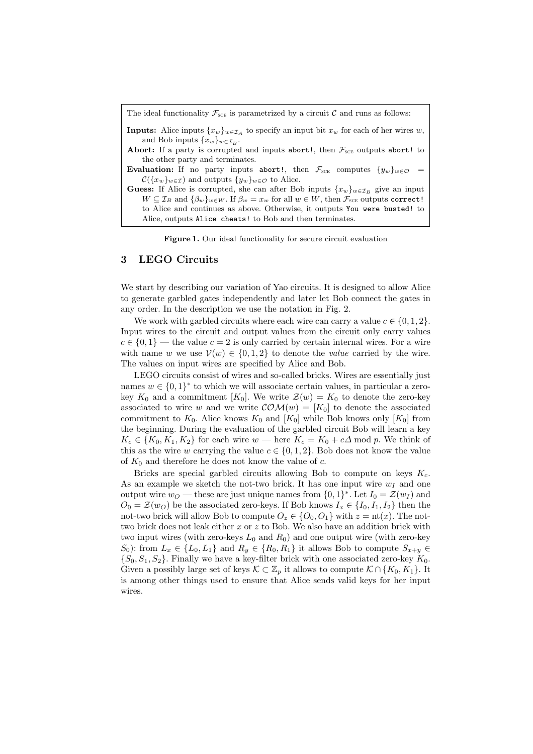| The ideal functionality $\mathcal{F}_{\text{SCE}}$ is parametrized by a circuit C and runs as follows:                                                                 |
|------------------------------------------------------------------------------------------------------------------------------------------------------------------------|
| <b>Inputs:</b> Alice inputs $\{x_w\}_{w \in \mathcal{I}_A}$ to specify an input bit $x_w$ for each of her wires w,<br>and Bob inputs $\{x_w\}_{w \in \mathcal{I}_P}$ . |
| <b>Abort:</b> If a party is corrupted and inputs abort!, then $\mathcal{F}_{\text{sc}}$ outputs abort! to                                                              |
| the other party and terminates.                                                                                                                                        |
| <b>Evaluation:</b> If no party inputs abort!, then $\mathcal{F}_{\text{SCE}}$ computes $\{y_w\}_{w \in \mathcal{O}}$                                                   |
| $\mathcal{C}(\{x_w\}_{w\in\mathcal{I}})$ and outputs $\{y_w\}_{w\in\mathcal{O}}$ to Alice.                                                                             |
| <b>Guess:</b> If Alice is corrupted, she can after Bob inputs $\{x_w\}_{w \in \mathcal{I}_R}$ give an input                                                            |
| $W \subseteq \mathcal{I}_B$ and $\{\beta_w\}_{w \in W}$ . If $\beta_w = x_w$ for all $w \in W$ , then $\mathcal{F}_{\text{sc}}$ outputs correct!                       |
| to Alice and continues as above. Otherwise, it outputs You were busted! to<br>Alice, outputs Alice cheats! to Bob and then terminates.                                 |
|                                                                                                                                                                        |

Figure 1. Our ideal functionality for secure circuit evaluation

# 3 LEGO Circuits

We start by describing our variation of Yao circuits. It is designed to allow Alice to generate garbled gates independently and later let Bob connect the gates in any order. In the description we use the notation in Fig. 2.

We work with garbled circuits where each wire can carry a value  $c \in \{0, 1, 2\}$ . Input wires to the circuit and output values from the circuit only carry values  $c \in \{0, 1\}$  — the value  $c = 2$  is only carried by certain internal wires. For a wire with name w we use  $V(w) \in \{0, 1, 2\}$  to denote the value carried by the wire. The values on input wires are specified by Alice and Bob.

LEGO circuits consist of wires and so-called bricks. Wires are essentially just names  $w \in \{0,1\}^*$  to which we will associate certain values, in particular a zerokey  $K_0$  and a commitment  $[K_0]$ . We write  $\mathcal{Z}(w) = K_0$  to denote the zero-key associated to wire w and we write  $\mathcal{COM}(w) = [K_0]$  to denote the associated commitment to  $K_0$ . Alice knows  $K_0$  and  $[K_0]$  while Bob knows only  $[K_0]$  from the beginning. During the evaluation of the garbled circuit Bob will learn a key  $K_c \in \{K_0, K_1, K_2\}$  for each wire  $w$  — here  $K_c = K_0 + c\Delta$  mod p. We think of this as the wire w carrying the value  $c \in \{0, 1, 2\}$ . Bob does not know the value of  $K_0$  and therefore he does not know the value of c.

Bricks are special garbled circuits allowing Bob to compute on keys  $K_c$ . As an example we sketch the not-two brick. It has one input wire  $w_I$  and one output wire  $w_O$  — these are just unique names from  $\{0,1\}^*$ . Let  $I_0 = \mathcal{Z}(w_I)$  and  $O_0 = \mathcal{Z}(w_O)$  be the associated zero-keys. If Bob knows  $I_x \in \{I_0, I_1, I_2\}$  then the not-two brick will allow Bob to compute  $O_z \in \{O_0, O_1\}$  with  $z = nt(x)$ . The nottwo brick does not leak either  $x$  or  $z$  to Bob. We also have an addition brick with two input wires (with zero-keys  $L_0$  and  $R_0$ ) and one output wire (with zero-key S<sub>0</sub>): from  $L_x \in \{L_0, L_1\}$  and  $R_y \in \{R_0, R_1\}$  it allows Bob to compute  $S_{x+y} \in$  $\{S_0, S_1, S_2\}$ . Finally we have a key-filter brick with one associated zero-key  $K_0$ . Given a possibly large set of keys  $\mathcal{K} \subset \mathbb{Z}_p$  it allows to compute  $\mathcal{K} \cap \{K_0, K_1\}$ . It is among other things used to ensure that Alice sends valid keys for her input wires.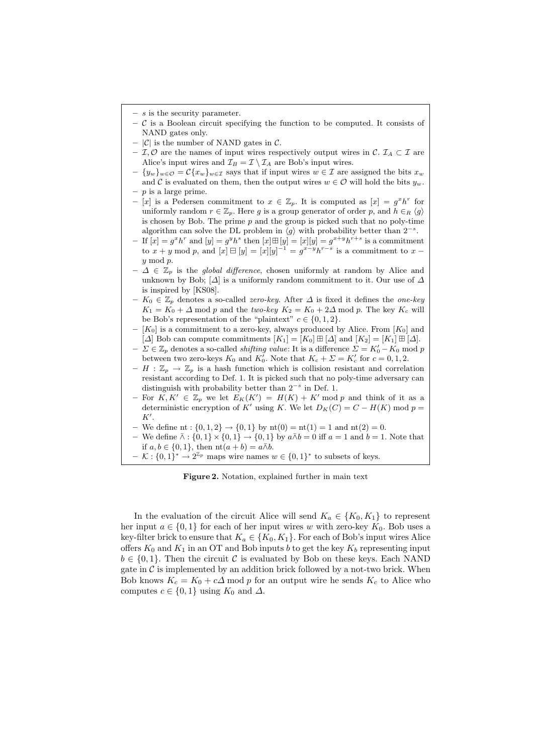- $s$  is the security parameter.
- $\sim$  C is a Boolean circuit specifying the function to be computed. It consists of NAND gates only.
- $|\mathcal{C}|$  is the number of NAND gates in  $\mathcal{C}$ .
- I, O are the names of input wires respectively output wires in C.  $\mathcal{I}_A \subset \mathcal{I}$  are Alice's input wires and  $\mathcal{I}_B = \mathcal{I} \setminus \mathcal{I}_A$  are Bob's input wires.
- $-\{y_w\}_{w\in\mathcal{O}}=\mathcal{C}\{x_w\}_{w\in\mathcal{I}}$  says that if input wires  $w\in\mathcal{I}$  are assigned the bits  $x_w$ and C is evaluated on them, then the output wires  $w \in \mathcal{O}$  will hold the bits  $y_w$ .  $- p$  is a large prime.
- $-[x]$  is a Pedersen commitment to  $x \in \mathbb{Z}_p$ . It is computed as  $[x] = g^x h^r$  for uniformly random  $r \in \mathbb{Z}_p$ . Here g is a group generator of order p, and  $h \in_R \langle q \rangle$ is chosen by Bob. The prime  $p$  and the group is picked such that no poly-time algorithm can solve the DL problem in  $\langle g \rangle$  with probability better than  $2^{-s}$ .
- If  $[x] = g^x h^x$  and  $[y] = g^y h^s$  then  $[x] \boxplus [y] = [x][y] = g^{x+y} h^{r+s}$  is a commitment to  $x + y \mod p$ , and  $[x] \boxminus [y] = [x][y]^{-1} = g^{x-y}h^{r-s}$  is a commitment to  $x$ y mod p.
- $-$  ∆ ∈  $\mathbb{Z}_p$  is the *global difference*, chosen uniformly at random by Alice and unknown by Bob;  $[\Delta]$  is a uniformly random commitment to it. Our use of  $\Delta$ is inspired by [KS08].
- K<sup>0</sup> ∈ Z<sup>p</sup> denotes a so-called zero-key. After ∆ is fixed it defines the one-key  $K_1 = K_0 + \Delta$  mod p and the two-key  $K_2 = K_0 + 2\Delta$  mod p. The key  $K_c$  will be Bob's representation of the "plaintext"  $c \in \{0, 1, 2\}.$
- $[K_0]$  is a commitment to a zero-key, always produced by Alice. From  $[K_0]$  and [ $\Delta$ ] Bob can compute commitments  $[K_1] = [K_0] \boxplus [\Delta]$  and  $[K_2] = [K_1] \boxplus [\Delta]$ .
- $-\sum \in \mathbb{Z}_p$  denotes a so-called *shifting value*: It is a difference  $\sum = K'_0 K_0$  mod p between two zero-keys  $K_0$  and  $K'_0$ . Note that  $K_c + \Sigma = K'_c$  for  $c = 0, 1, 2$ .
- $H: \mathbb{Z}_p \to \mathbb{Z}_p$  is a hash function which is collision resistant and correlation resistant according to Def. 1. It is picked such that no poly-time adversary can distinguish with probability better than  $2^{-s}$  in Def. 1.
- For  $K, K' \in \mathbb{Z}_p$  we let  $E_K(K') = H(K) + K' \text{ mod } p$  and think of it as a deterministic encryption of K' using K. We let  $D_K(C) = C - H(K) \text{ mod } p =$  $K'.$
- We define nt :  $\{0, 1, 2\} \rightarrow \{0, 1\}$  by  $\text{nt}(0) = \text{nt}(1) = 1$  and  $\text{nt}(2) = 0$ .
- We define  $\bar{\wedge}$  : {0, 1}  $\times$  {0, 1} → {0, 1} by  $a\bar{\wedge}b = 0$  iff  $a = 1$  and  $b = 1$ . Note that if  $a, b \in \{0, 1\}$ , then  $nt(a + b) = a \bar{\wedge} b$ .
- $-\mathcal{K}: \{0,1\}^* \to 2^{\mathbb{Z}_p}$  maps wire names  $w \in \{0,1\}^*$  to subsets of keys.

Figure 2. Notation, explained further in main text

In the evaluation of the circuit Alice will send  $K_a \in \{K_0, K_1\}$  to represent her input  $a \in \{0,1\}$  for each of her input wires w with zero-key  $K_0$ . Bob uses a key-filter brick to ensure that  $K_a \in \{K_0, K_1\}$ . For each of Bob's input wires Alice offers  $K_0$  and  $K_1$  in an OT and Bob inputs b to get the key  $K_b$  representing input  $b \in \{0,1\}$ . Then the circuit C is evaluated by Bob on these keys. Each NAND gate in  $\mathcal C$  is implemented by an addition brick followed by a not-two brick. When Bob knows  $K_c = K_0 + c\Delta$  mod p for an output wire he sends  $K_c$  to Alice who computes  $c \in \{0, 1\}$  using  $K_0$  and  $\Delta$ .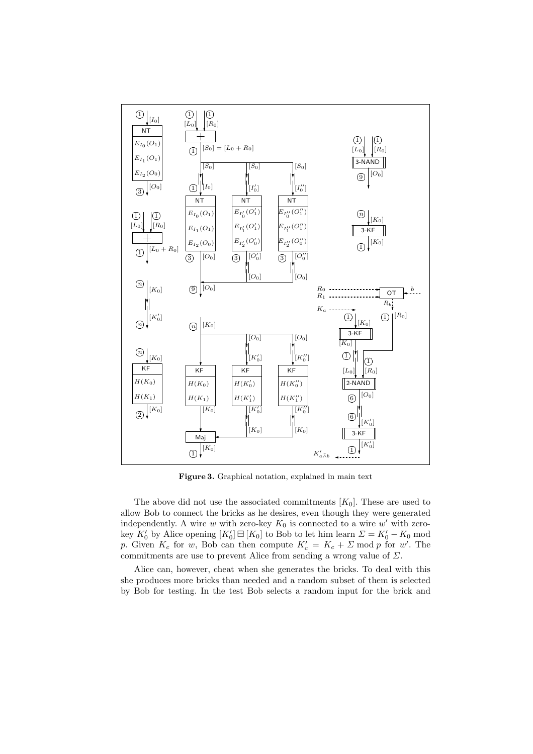

Figure 3. Graphical notation, explained in main text

The above did not use the associated commitments  $[K_0]$ . These are used to allow Bob to connect the bricks as he desires, even though they were generated independently. A wire w with zero-key  $K_0$  is connected to a wire w' with zerokey  $K'_0$  by Alice opening  $[K'_0] \boxminus [K_0]$  to Bob to let him learn  $\Sigma = K'_0 - K_0$  mod p. Given  $K_c$  for w, Bob can then compute  $K_c' = K_c + \Sigma \mod p$  for w'. The commitments are use to prevent Alice from sending a wrong value of  $\Sigma$ .

Alice can, however, cheat when she generates the bricks. To deal with this she produces more bricks than needed and a random subset of them is selected by Bob for testing. In the test Bob selects a random input for the brick and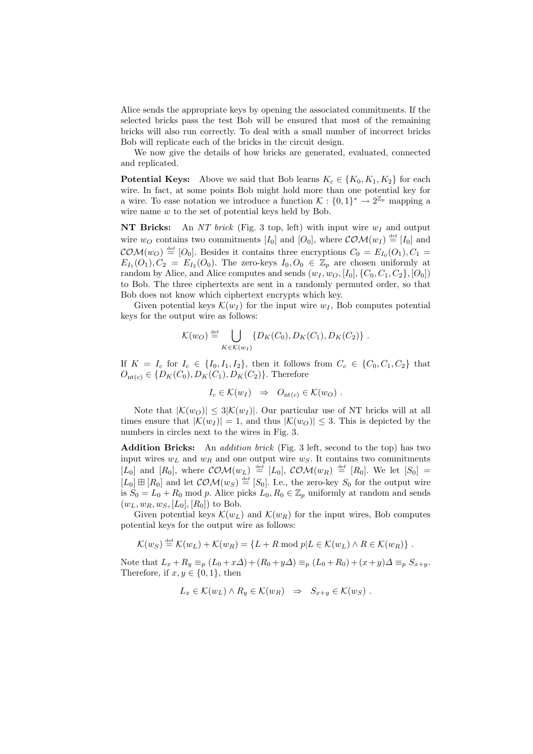Alice sends the appropriate keys by opening the associated commitments. If the selected bricks pass the test Bob will be ensured that most of the remaining bricks will also run correctly. To deal with a small number of incorrect bricks Bob will replicate each of the bricks in the circuit design.

We now give the details of how bricks are generated, evaluated, connected and replicated.

**Potential Keys:** Above we said that Bob learns  $K_c \in \{K_0, K_1, K_2\}$  for each wire. In fact, at some points Bob might hold more than one potential key for a wire. To ease notation we introduce a function  $\mathcal{K} : \{0,1\}^* \to 2^{\mathbb{Z}_p}$  mapping a wire name w to the set of potential keys held by Bob.

NT Bricks: An NT brick (Fig. 3 top, left) with input wire  $w_I$  and output wire  $w_O$  contains two commitments  $[I_0]$  and  $[O_0]$ , where  $\mathcal{COM}(w_I) \stackrel{\text{def}}{=} [I_0]$  and  $\mathcal{COM}(w_O) \stackrel{\text{def}}{=} [O_0]$ . Besides it contains three encryptions  $C_0 = E_{I_0}(O_1), C_1 =$  $E_{I_1}(O_1), C_2 = E_{I_2}(O_0)$ . The zero-keys  $I_0, O_0 \in \mathbb{Z}_p$  are chosen uniformly at random by Alice, and Alice computes and sends  $(w_I, w_O, [I_0], \{C_0, C_1, C_2\}, [O_0])$ to Bob. The three ciphertexts are sent in a randomly permuted order, so that Bob does not know which ciphertext encrypts which key.

Given potential keys  $\mathcal{K}(w_I)$  for the input wire  $w_I$ , Bob computes potential keys for the output wire as follows:

$$
\mathcal{K}(w_O) \stackrel{\text{def}}{=} \bigcup_{K \in \mathcal{K}(w_I)} \{D_K(C_0), D_K(C_1), D_K(C_2)\}.
$$

If  $K = I_c$  for  $I_c \in \{I_0, I_1, I_2\}$ , then it follows from  $C_c \in \{C_0, C_1, C_2\}$  that  $O_{\text{nt}(c)} \in \{D_K(C_0), D_K(C_1), D_K(C_2)\}.$  Therefore

$$
I_c \in \mathcal{K}(w_I) \Rightarrow O_{\mathrm{nt}(c)} \in \mathcal{K}(w_O) .
$$

Note that  $|\mathcal{K}(w_O)| \leq 3|\mathcal{K}(w_I)|$ . Our particular use of NT bricks will at all times ensure that  $|\mathcal{K}(w_I)| = 1$ , and thus  $|\mathcal{K}(w_O)| \leq 3$ . This is depicted by the numbers in circles next to the wires in Fig. 3.

Addition Bricks: An *addition brick* (Fig. 3 left, second to the top) has two input wires  $w_L$  and  $w_R$  and one output wire  $w_S$ . It contains two commitments [ $L_0$ ] and [ $R_0$ ], where  $\mathcal{COM}(w_L) \stackrel{\text{def}}{=} [L_0]$ ,  $\mathcal{COM}(w_R) \stackrel{\text{def}}{=} [R_0]$ . We let  $[S_0] =$  $[L_0] \boxplus [R_0]$  and let  $\mathcal{COM}(w_S) \stackrel{\text{def}}{=} [S_0]$ . I.e., the zero-key  $S_0$  for the output wire is  $S_0 = L_0 + R_0$  mod p. Alice picks  $L_0, R_0 \in \mathbb{Z}_p$  uniformly at random and sends  $(w_L, w_R, w_S, [L_0], [R_0])$  to Bob.

Given potential keys  $\mathcal{K}(w_L)$  and  $\mathcal{K}(w_R)$  for the input wires, Bob computes potential keys for the output wire as follows:

$$
\mathcal{K}(w_S) \stackrel{\text{def}}{=} \mathcal{K}(w_L) + \mathcal{K}(w_R) = \{L + R \bmod p | L \in \mathcal{K}(w_L) \land R \in \mathcal{K}(w_R) \}.
$$

Note that  $L_x + R_y \equiv_p (L_0 + x\Delta) + (R_0 + y\Delta) \equiv_p (L_0 + R_0) + (x + y)\Delta \equiv_p S_{x+y}$ . Therefore, if  $x, y \in \{0, 1\}$ , then

$$
L_x \in \mathcal{K}(w_L) \wedge R_y \in \mathcal{K}(w_R) \Rightarrow S_{x+y} \in \mathcal{K}(w_S) .
$$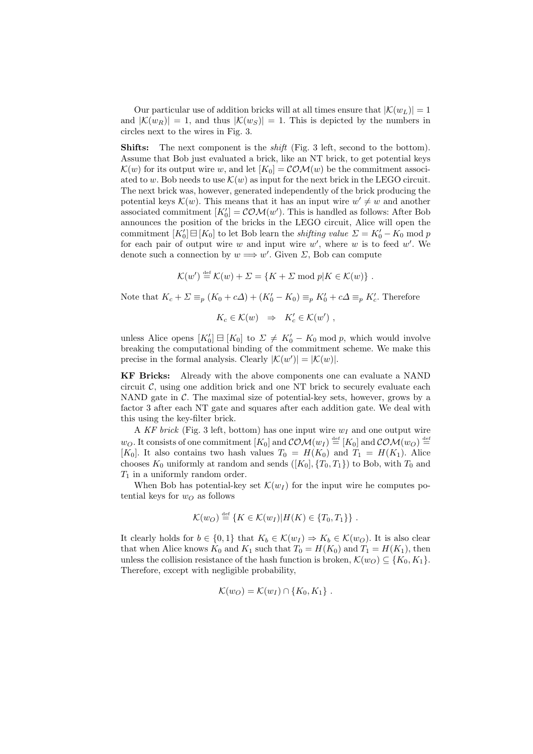Our particular use of addition bricks will at all times ensure that  $|\mathcal{K}(w_L)| = 1$ and  $|\mathcal{K}(w_R)| = 1$ , and thus  $|\mathcal{K}(w_S)| = 1$ . This is depicted by the numbers in circles next to the wires in Fig. 3.

**Shifts:** The next component is the *shift* (Fig. 3 left, second to the bottom). Assume that Bob just evaluated a brick, like an NT brick, to get potential keys  $\mathcal{K}(w)$  for its output wire w, and let  $[K_0] = \mathcal{COM}(w)$  be the commitment associated to w. Bob needs to use  $\mathcal{K}(w)$  as input for the next brick in the LEGO circuit. The next brick was, however, generated independently of the brick producing the potential keys  $\mathcal{K}(w)$ . This means that it has an input wire  $w' \neq w$  and another associated commitment  $[K'_0] = \mathcal{COM}(w')$ . This is handled as follows: After Bob announces the position of the bricks in the LEGO circuit, Alice will open the commitment  $[K'_0] \boxminus [K_0]$  to let Bob learn the *shifting value*  $\Sigma = K'_0 - K_0 \bmod p$ for each pair of output wire  $w$  and input wire  $w'$ , where  $w$  is to feed  $w'$ . We denote such a connection by  $w \Longrightarrow w'$ . Given  $\Sigma$ , Bob can compute

$$
\mathcal{K}(w') \stackrel{\text{def}}{=} \mathcal{K}(w) + \Sigma = \{K + \Sigma \bmod p | K \in \mathcal{K}(w)\} .
$$

Note that  $K_c + \Sigma \equiv_p (K_0 + c\Delta) + (K'_0 - K_0) \equiv_p K'_0 + c\Delta \equiv_p K'_c$ . Therefore

$$
K_c \in \mathcal{K}(w) \Rightarrow K'_c \in \mathcal{K}(w') ,
$$

unless Alice opens  $[K'_0] \boxminus [K_0]$  to  $\Sigma \neq K'_0 - K_0 \mod p$ , which would involve breaking the computational binding of the commitment scheme. We make this precise in the formal analysis. Clearly  $|\mathcal{K}(w')| = |\mathcal{K}(w)|$ .

KF Bricks: Already with the above components one can evaluate a NAND circuit  $\mathcal{C}$ , using one addition brick and one NT brick to securely evaluate each NAND gate in  $\mathcal{C}$ . The maximal size of potential-key sets, however, grows by a factor 3 after each NT gate and squares after each addition gate. We deal with this using the key-filter brick.

A KF brick (Fig. 3 left, bottom) has one input wire  $w_I$  and one output wire  $w_O$ . It consists of one commitment  $[K_0]$  and  $\mathcal{COM}(w_I) \stackrel{\text{def}}{=} [K_0]$  and  $\mathcal{COM}(w_O) \stackrel{\text{def}}{=}$ [ $K_0$ ]. It also contains two hash values  $T_0 = H(K_0)$  and  $T_1 = H(K_1)$ . Alice chooses  $K_0$  uniformly at random and sends  $([K_0], {T_0, T_1})$  to Bob, with  $T_0$  and  $T_1$  in a uniformly random order.

When Bob has potential-key set  $\mathcal{K}(w_I)$  for the input wire he computes potential keys for  $w<sub>O</sub>$  as follows

$$
\mathcal{K}(w_O) \stackrel{\text{def}}{=} \{ K \in \mathcal{K}(w_I) | H(K) \in \{T_0, T_1\} \} .
$$

It clearly holds for  $b \in \{0,1\}$  that  $K_b \in \mathcal{K}(w_I) \Rightarrow K_b \in \mathcal{K}(w_O)$ . It is also clear that when Alice knows  $K_0$  and  $K_1$  such that  $T_0 = H(K_0)$  and  $T_1 = H(K_1)$ , then unless the collision resistance of the hash function is broken,  $\mathcal{K}(w_O) \subseteq \{K_0, K_1\}$ . Therefore, except with negligible probability,

$$
\mathcal{K}(w_O) = \mathcal{K}(w_I) \cap \{K_0, K_1\} .
$$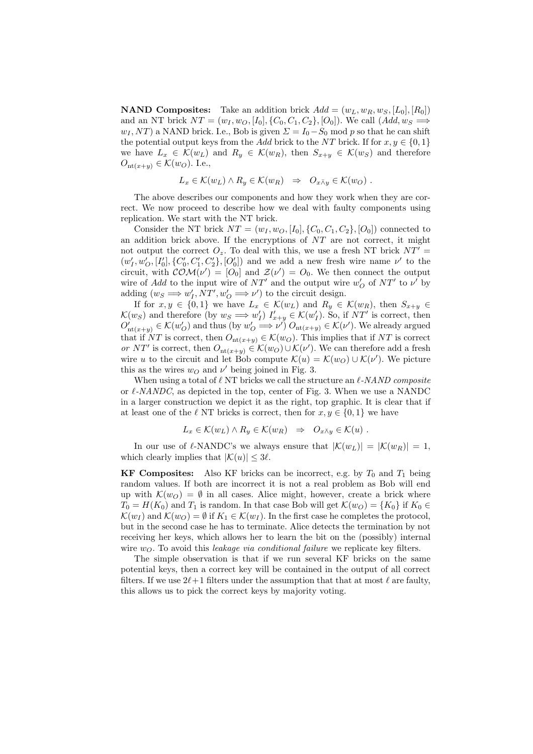**NAND Composites:** Take an addition brick  $Add = (w_L, w_R, w_S, [L_0], [R_0])$ and an NT brick  $NT = (w_I, w_O, [I_0], \{C_0, C_1, C_2\}, [O_0])$ . We call  $(Add, w_S \implies$  $w_I, NT$  a NAND brick. I.e., Bob is given  $\Sigma = I_0 - S_0 \text{ mod } p$  so that he can shift the potential output keys from the Add brick to the NT brick. If for  $x, y \in \{0, 1\}$ we have  $L_x \in \mathcal{K}(w_L)$  and  $R_y \in \mathcal{K}(w_R)$ , then  $S_{x+y} \in \mathcal{K}(w_S)$  and therefore  $O_{\text{nt}(x+y)} \in \mathcal{K}(w_O)$ . I.e.,

$$
L_x \in \mathcal{K}(w_L) \wedge R_y \in \mathcal{K}(w_R) \Rightarrow O_{x \bar{\wedge} y} \in \mathcal{K}(w_O) .
$$

The above describes our components and how they work when they are correct. We now proceed to describe how we deal with faulty components using replication. We start with the NT brick.

Consider the NT brick  $NT = (w_I, w_O, [I_0], \{C_0, C_1, C_2\}, [O_0])$  connected to an addition brick above. If the encryptions of  $NT$  are not correct, it might not output the correct  $O_z$ . To deal with this, we use a fresh NT brick  $NT' =$  $(w'_I, w'_O, [I'_0], \{C'_0, C'_1, C'_2\}, [O'_0])$  and we add a new fresh wire name  $\nu'$  to the circuit, with  $\mathcal{COM}(\nu') = [O_0]$  and  $\mathcal{Z}(\nu') = O_0$ . We then connect the output wire of Add to the input wire of  $NT'$  and the output wire  $w'_{O}$  of  $NT'$  to  $\nu'$  by adding  $(w_S \Longrightarrow w'_I, NT', w'_O \Longrightarrow \nu')$  to the circuit design.

If for  $x, y \in \{0, 1\}$  we have  $L_x \in \mathcal{K}(w_L)$  and  $R_y \in \mathcal{K}(w_R)$ , then  $S_{x+y} \in$  $\mathcal{K}(w_S)$  and therefore (by  $w_S \Longrightarrow w'_I$ )  $I'_{x+y} \in \mathcal{K}(w'_I)$ . So, if NT' is correct, then  $O'_{\text{nt}(x+y)} \in \mathcal{K}(w'_{\mathcal{O}})$  and thus (by  $w'_{\mathcal{O}} \Longrightarrow \nu'$ )  $O_{\text{nt}(x+y)} \in \mathcal{K}(\nu')$ . We already argued that if NT is correct, then  $O_{nt(x+y)} \in \mathcal{K}(w_0)$ . This implies that if NT is correct or NT' is correct, then  $O_{\text{nt}(x+y)} \in \mathcal{K}(w_0) \cup \mathcal{K}(\nu')$ . We can therefore add a fresh wire u to the circuit and let Bob compute  $\mathcal{K}(u) = \mathcal{K}(w_0) \cup \mathcal{K}(\nu')$ . We picture this as the wires  $w_O$  and  $\nu'$  being joined in Fig. 3.

When using a total of  $\ell$  NT bricks we call the structure an  $\ell$ -NAND composite or  $\ell$ -NANDC, as depicted in the top, center of Fig. 3. When we use a NANDC in a larger construction we depict it as the right, top graphic. It is clear that if at least one of the  $\ell$  NT bricks is correct, then for  $x, y \in \{0, 1\}$  we have

$$
L_x \in \mathcal{K}(w_L) \wedge R_y \in \mathcal{K}(w_R) \Rightarrow O_{x \bar{\wedge} y} \in \mathcal{K}(u) .
$$

In our use of  $\ell$ -NANDC's we always ensure that  $|\mathcal{K}(w_L)| = |\mathcal{K}(w_R)| = 1$ , which clearly implies that  $|\mathcal{K}(u)| \leq 3\ell$ .

**KF Composites:** Also KF bricks can be incorrect, e.g. by  $T_0$  and  $T_1$  being random values. If both are incorrect it is not a real problem as Bob will end up with  $\mathcal{K}(w_0) = \emptyset$  in all cases. Alice might, however, create a brick where  $T_0 = H(K_0)$  and  $T_1$  is random. In that case Bob will get  $\mathcal{K}(w_O) = \{K_0\}$  if  $K_0 \in$  $\mathcal{K}(w_I)$  and  $\mathcal{K}(w_O) = \emptyset$  if  $K_1 \in \mathcal{K}(w_I)$ . In the first case he completes the protocol, but in the second case he has to terminate. Alice detects the termination by not receiving her keys, which allows her to learn the bit on the (possibly) internal wire  $w_O$ . To avoid this leakage via conditional failure we replicate key filters.

The simple observation is that if we run several KF bricks on the same potential keys, then a correct key will be contained in the output of all correct filters. If we use  $2\ell+1$  filters under the assumption that that at most  $\ell$  are faulty, this allows us to pick the correct keys by majority voting.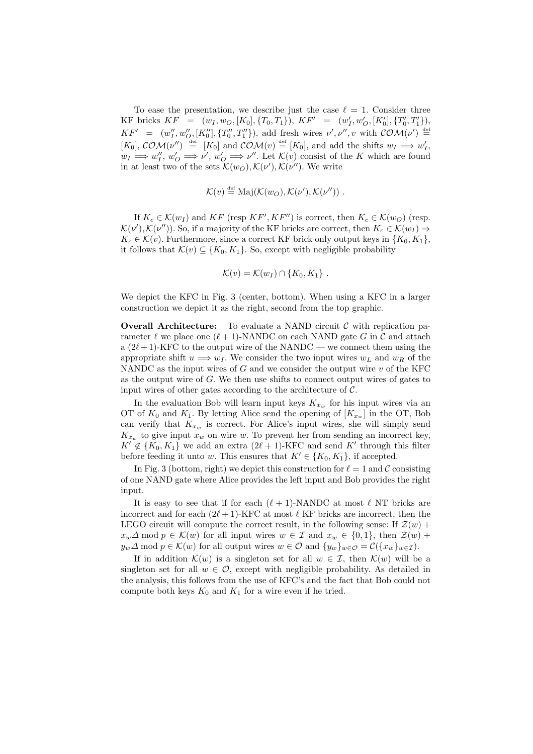To ease the presentation, we describe just the case  $\ell = 1$ . Consider three KF bricks  $KF = (w_I, w_O, [K_0], \{T_0, T_1\}), KF' = (w'_I, w'_O, [K'_0], \{T'_0, T'_1\}),$  $KF' = (w''_I, w''_O, [K''_0], \{T''_0, T''_1\}),$  add fresh wires  $\nu', \nu'', v$  with  $\mathcal{COM}(\nu') \stackrel{\text{def}}{=}$  $[K_0], \mathcal{COM}(\nu'') \stackrel{\text{def}}{=} [K_0] \text{ and } \mathcal{COM}(\nu) \stackrel{\text{def}}{=} [K_0], \text{ and add the shifts } w_I \Longrightarrow w'_I,$  $w_I \Longrightarrow w''_I, w'_O \Longrightarrow \nu', w'_O \Longrightarrow \nu''.$  Let  $\mathcal{K}(v)$  consist of the K which are found in at least two of the sets  $\mathcal{K}(w_0), \mathcal{K}(\nu'), \mathcal{K}(\nu'')$ . We write

$$
\mathcal{K}(v) \stackrel{\text{def}}{=} \text{Maj}(\mathcal{K}(w_O), \mathcal{K}(\nu'), \mathcal{K}(\nu'')) .
$$

If  $K_c \in \mathcal{K}(w_I)$  and  $KF$  (resp  $KF', KF'$ ) is correct, then  $K_c \in \mathcal{K}(w_O)$  (resp.  $\mathcal{K}(\nu'), \mathcal{K}(\nu'')$ ). So, if a majority of the KF bricks are correct, then  $K_c \in \mathcal{K}(w_I) \Rightarrow$  $K_c \in \mathcal{K}(v)$ . Furthermore, since a correct KF brick only output keys in  $\{K_0, K_1\}$ , it follows that  $\mathcal{K}(v) \subseteq \{K_0, K_1\}$ . So, except with negligible probability

$$
\mathcal{K}(v) = \mathcal{K}(w_I) \cap \{K_0, K_1\} .
$$

We depict the KFC in Fig. 3 (center, bottom). When using a KFC in a larger construction we depict it as the right, second from the top graphic.

**Overall Architecture:** To evaluate a NAND circuit  $\mathcal{C}$  with replication parameter  $\ell$  we place one  $(\ell + 1)$ -NANDC on each NAND gate G in C and attach a  $(2\ell + 1)$ -KFC to the output wire of the NANDC — we connect them using the appropriate shift  $u \Longrightarrow w_I$ . We consider the two input wires  $w_L$  and  $w_R$  of the NANDC as the input wires of G and we consider the output wire  $v$  of the KFC as the output wire of  $G$ . We then use shifts to connect output wires of gates to input wires of other gates according to the architecture of  $C$ .

In the evaluation Bob will learn input keys  $K_{x_w}$  for his input wires via an OT of  $K_0$  and  $K_1$ . By letting Alice send the opening of  $[K_{x_w}]$  in the OT, Bob can verify that  $K_{x_w}$  is correct. For Alice's input wires, she will simply send  $K_{x_w}$  to give input  $x_w$  on wire w. To prevent her from sending an incorrect key,  $K' \notin \{K_0, K_1\}$  we add an extra  $(2\ell + 1)$ -KFC and send K' through this filter before feeding it unto w. This ensures that  $K' \in \{K_0, K_1\}$ , if accepted.

In Fig. 3 (bottom, right) we depict this construction for  $\ell = 1$  and C consisting of one NAND gate where Alice provides the left input and Bob provides the right input.

It is easy to see that if for each  $(\ell + 1)$ -NANDC at most  $\ell$  NT bricks are incorrect and for each  $(2\ell + 1)$ -KFC at most  $\ell$  KF bricks are incorrect, then the LEGO circuit will compute the correct result, in the following sense: If  $\mathcal{Z}(w)$  +  $x_w\Delta \mod p \in \mathcal{K}(w)$  for all input wires  $w \in \mathcal{I}$  and  $x_w \in \{0,1\}$ , then  $\mathcal{Z}(w)$  +  $y_w\Delta \mod p \in \mathcal{K}(w)$  for all output wires  $w \in \mathcal{O}$  and  $\{y_w\}_{w \in \mathcal{O}} = \mathcal{C}(\{x_w\}_{w \in \mathcal{I}}).$ 

If in addition  $\mathcal{K}(w)$  is a singleton set for all  $w \in \mathcal{I}$ , then  $\mathcal{K}(w)$  will be a singleton set for all  $w \in \mathcal{O}$ , except with negligible probability. As detailed in the analysis, this follows from the use of KFC's and the fact that Bob could not compute both keys  $K_0$  and  $K_1$  for a wire even if he tried.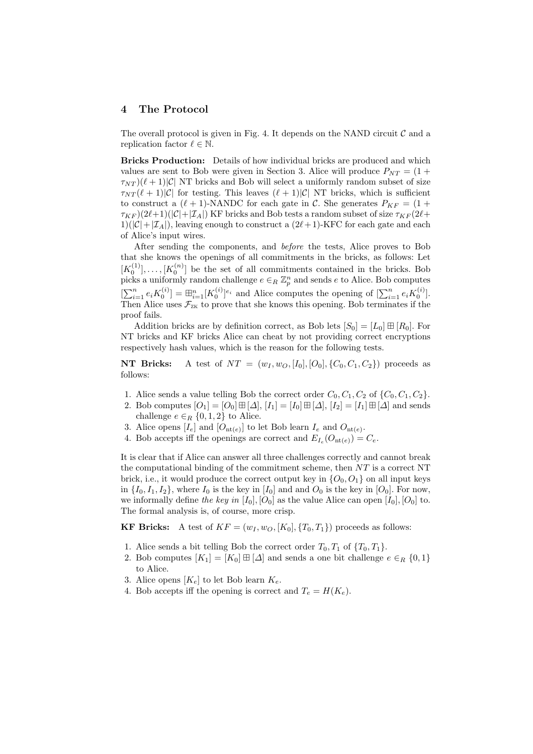### 4 The Protocol

The overall protocol is given in Fig. 4. It depends on the NAND circuit  $\mathcal C$  and a replication factor  $\ell \in \mathbb{N}$ .

Bricks Production: Details of how individual bricks are produced and which values are sent to Bob were given in Section 3. Alice will produce  $P_{NT} = (1 +$  $\tau_{NT}$  $((\ell + 1)|\mathcal{C}|$  NT bricks and Bob will select a uniformly random subset of size  $\tau_{NT}(\ell + 1)|C|$  for testing. This leaves  $(\ell + 1)|C|$  NT bricks, which is sufficient to construct a  $(\ell + 1)$ -NANDC for each gate in C. She generates  $P_{KF} = (1 +$  $\tau_{KF}$ )(2 $\ell+1$ )( $|\mathcal{C}|+|\mathcal{I}_A|$ ) KF bricks and Bob tests a random subset of size  $\tau_{KF}$ (2 $\ell+$  $1)(|\mathcal{C}|+|\mathcal{I}_A|)$ , leaving enough to construct a  $(2\ell + 1)$ -KFC for each gate and each of Alice's input wires.

After sending the components, and before the tests, Alice proves to Bob that she knows the openings of all commitments in the bricks, as follows: Let  $[K_0^{(1)}], \ldots, [K_0^{(n)}]$  be the set of all commitments contained in the bricks. Bob picks a uniformly random challenge  $e \in_R \mathbb{Z}_p^n$  and sends e to Alice. Bob computes  $[\sum_{i=1}^n e_i K_0^{(i)}] = \boxplus_{i=1}^n [K_0^{(i)}]^{e_i}$  and Alice computes the opening of  $[\sum_{i=1}^n e_i K_0^{(i)}]$ . Then Alice uses  $\mathcal{F}_{\text{ZK}}$  to prove that she knows this opening. Bob terminates if the proof fails.

Addition bricks are by definition correct, as Bob lets  $[S_0] = [L_0] \boxplus [R_0]$ . For NT bricks and KF bricks Alice can cheat by not providing correct encryptions respectively hash values, which is the reason for the following tests.

**NT Bricks:** A test of  $NT = (w_I, w_O, [I_0], [O_0], \{C_0, C_1, C_2\})$  proceeds as follows:

- 1. Alice sends a value telling Bob the correct order  $C_0, C_1, C_2$  of  $\{C_0, C_1, C_2\}$ .
- 2. Bob computes  $[O_1] = [O_0] \boxplus [\Delta], [I_1] = [I_0] \boxplus [\Delta], [I_2] = [I_1] \boxplus [\Delta]$  and sends challenge  $e \in_R \{0, 1, 2\}$  to Alice.
- 3. Alice opens  $[I_e]$  and  $[O_{\text{nt}(e)}]$  to let Bob learn  $I_e$  and  $O_{\text{nt}(e)}$ .
- 4. Bob accepts iff the openings are correct and  $E_{I_e}(O_{\text{nt}(e)}) = C_e$ .

It is clear that if Alice can answer all three challenges correctly and cannot break the computational binding of the commitment scheme, then  $NT$  is a correct NT brick, i.e., it would produce the correct output key in  $\{O_0, O_1\}$  on all input keys in  $\{I_0, I_1, I_2\}$ , where  $I_0$  is the key in  $[I_0]$  and and  $O_0$  is the key in  $[O_0]$ . For now, we informally define the key in  $[I_0], [O_0]$  as the value Alice can open  $[I_0], [O_0]$  to. The formal analysis is, of course, more crisp.

**KF Bricks:** A test of  $KF = (w_I, w_O, [K_0], \{T_0, T_1\})$  proceeds as follows:

- 1. Alice sends a bit telling Bob the correct order  $T_0, T_1$  of  $\{T_0, T_1\}$ .
- 2. Bob computes  $[K_1] = [K_0] \boxplus [\Delta]$  and sends a one bit challenge  $e \in_R \{0,1\}$ to Alice.
- 3. Alice opens  $[K_e]$  to let Bob learn  $K_e$ .
- 4. Bob accepts iff the opening is correct and  $T_e = H(K_e)$ .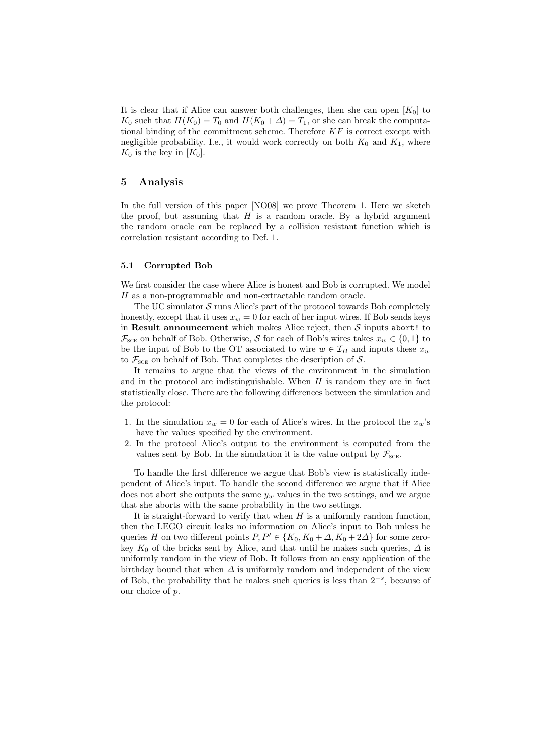It is clear that if Alice can answer both challenges, then she can open  $[K_0]$  to  $K_0$  such that  $H(K_0) = T_0$  and  $H(K_0 + \Delta) = T_1$ , or she can break the computational binding of the commitment scheme. Therefore  $KF$  is correct except with negligible probability. I.e., it would work correctly on both  $K_0$  and  $K_1$ , where  $K_0$  is the key in  $[K_0]$ .

### 5 Analysis

In the full version of this paper [NO08] we prove Theorem 1. Here we sketch the proof, but assuming that  $H$  is a random oracle. By a hybrid argument the random oracle can be replaced by a collision resistant function which is correlation resistant according to Def. 1.

#### 5.1 Corrupted Bob

We first consider the case where Alice is honest and Bob is corrupted. We model H as a non-programmable and non-extractable random oracle.

The UC simulator  $\mathcal S$  runs Alice's part of the protocol towards Bob completely honestly, except that it uses  $x_w = 0$  for each of her input wires. If Bob sends keys in Result announcement which makes Alice reject, then  $S$  inputs abort! to  $\mathcal{F}_{\text{SCE}}$  on behalf of Bob. Otherwise, S for each of Bob's wires takes  $x_w \in \{0, 1\}$  to be the input of Bob to the OT associated to wire  $w \in \mathcal{I}_B$  and inputs these  $x_w$ to  $\mathcal{F}_{\text{SCE}}$  on behalf of Bob. That completes the description of  $\mathcal{S}$ .

It remains to argue that the views of the environment in the simulation and in the protocol are indistinguishable. When  $H$  is random they are in fact statistically close. There are the following differences between the simulation and the protocol:

- 1. In the simulation  $x_w = 0$  for each of Alice's wires. In the protocol the  $x_w$ 's have the values specified by the environment.
- 2. In the protocol Alice's output to the environment is computed from the values sent by Bob. In the simulation it is the value output by  $\mathcal{F}_{\text{scr}}$ .

To handle the first difference we argue that Bob's view is statistically independent of Alice's input. To handle the second difference we argue that if Alice does not abort she outputs the same  $y_w$  values in the two settings, and we argue that she aborts with the same probability in the two settings.

It is straight-forward to verify that when  $H$  is a uniformly random function, then the LEGO circuit leaks no information on Alice's input to Bob unless he queries H on two different points  $P, P' \in \{K_0, K_0 + \Delta, K_0 + 2\Delta\}$  for some zerokey  $K_0$  of the bricks sent by Alice, and that until he makes such queries,  $\Delta$  is uniformly random in the view of Bob. It follows from an easy application of the birthday bound that when  $\Delta$  is uniformly random and independent of the view of Bob, the probability that he makes such queries is less than  $2^{-s}$ , because of our choice of p.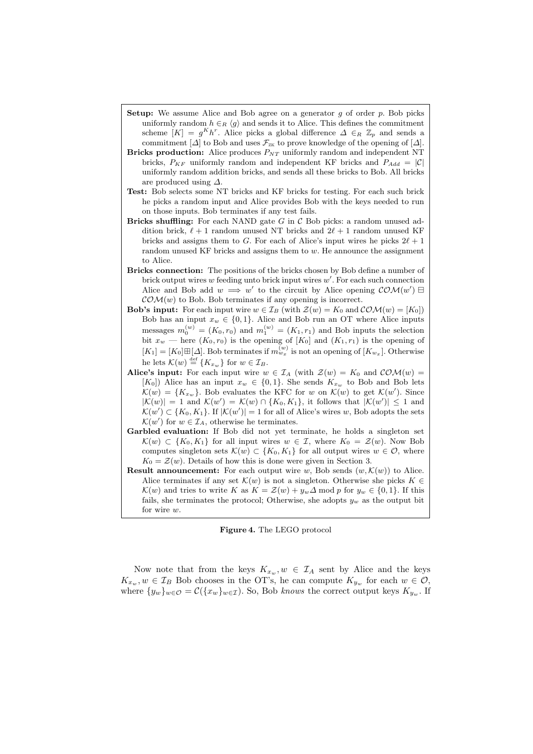- **Setup:** We assume Alice and Bob agree on a generator  $g$  of order  $p$ . Bob picks uniformly random  $h \in_R \langle q \rangle$  and sends it to Alice. This defines the commitment scheme  $[K] = g^K h^r$ . Alice picks a global difference  $\Delta \in_R \mathbb{Z}_p$  and sends a commitment  $[\Delta]$  to Bob and uses  $\mathcal{F}_{\text{ZK}}$  to prove knowledge of the opening of  $[\Delta]$ .
- **Bricks production:** Alice produces  $P_{NT}$  uniformly random and independent NT bricks,  $P_{KF}$  uniformly random and independent KF bricks and  $P_{Add} = |\mathcal{C}|$ uniformly random addition bricks, and sends all these bricks to Bob. All bricks are produced using  $\Delta$ .
- Test: Bob selects some NT bricks and KF bricks for testing. For each such brick he picks a random input and Alice provides Bob with the keys needed to run on those inputs. Bob terminates if any test fails.
- Bricks shuffling: For each NAND gate  $G$  in  $\mathcal C$  Bob picks: a random unused addition brick,  $\ell + 1$  random unused NT bricks and  $2\ell + 1$  random unused KF bricks and assigns them to G. For each of Alice's input wires he picks  $2\ell + 1$ random unused KF bricks and assigns them to  $w$ . He announce the assignment to Alice.
- Bricks connection: The positions of the bricks chosen by Bob define a number of brick output wires  $w$  feeding unto brick input wires  $w'$ . For each such connection Alice and Bob add  $w \implies w'$  to the circuit by Alice opening  $\mathcal{COM}(w') \boxminus$  $\mathcal{COM}(w)$  to Bob. Bob terminates if any opening is incorrect.
- **Bob's input:** For each input wire  $w \in \mathcal{I}_B$  (with  $\mathcal{Z}(w) = K_0$  and  $\mathcal{COM}(w) = [K_0]$ ) Bob has an input  $x_w \in \{0, 1\}$ . Alice and Bob run an OT where Alice inputs messages  $m_0^{(w)} = (K_0, r_0)$  and  $m_1^{(w)} = (K_1, r_1)$  and Bob inputs the selection bit  $x_w$  — here  $(K_0, r_0)$  is the opening of  $[K_0]$  and  $(K_1, r_1)$  is the opening of  $[K_1] = [K_0] \boxplus [\Delta]$ . Bob terminates if  $m_{w_x}^{(w)}$  is not an opening of  $[K_{w_x}]$ . Otherwise he lets  $\mathcal{K}(w) \stackrel{\text{def}}{=} \{K_{x_w}\}\text{ for }w\in\mathcal{I}_B.$
- Alice's input: For each input wire  $w \in \mathcal{I}_A$  (with  $\mathcal{Z}(w) = K_0$  and  $\mathcal{COM}(w) =$ [K<sub>0</sub>]) Alice has an input  $x_w \in \{0,1\}$ . She sends  $K_{x_w}$  to Bob and Bob lets  $\mathcal{K}(w) = \{K_{x_w}\}.$  Bob evaluates the KFC for w on  $\mathcal{K}(w)$  to get  $\mathcal{K}(w')$ . Since  $|\mathcal{K}(w)| = 1$  and  $\mathcal{K}(w') = \mathcal{K}(w) \cap \{K_0, K_1\}$ , it follows that  $|\mathcal{K}(w')| \leq 1$  and  $\mathcal{K}(w') \subset \{K_0, K_1\}$ . If  $|\mathcal{K}(w')| = 1$  for all of Alice's wires w, Bob adopts the sets  $\mathcal{K}(w')$  for  $w \in \mathcal{I}_A$ , otherwise he terminates.
- Garbled evaluation: If Bob did not yet terminate, he holds a singleton set  $\mathcal{K}(w) \subset \{K_0, K_1\}$  for all input wires  $w \in \mathcal{I}$ , where  $K_0 = \mathcal{Z}(w)$ . Now Bob computes singleton sets  $\mathcal{K}(w) \subset \{K_0, K_1\}$  for all output wires  $w \in \mathcal{O}$ , where  $K_0 = \mathcal{Z}(w)$ . Details of how this is done were given in Section 3.
- **Result announcement:** For each output wire w, Bob sends  $(w, \mathcal{K}(w))$  to Alice. Alice terminates if any set  $\mathcal{K}(w)$  is not a singleton. Otherwise she picks  $K \in$  $\mathcal{K}(w)$  and tries to write K as  $K = \mathcal{Z}(w) + y_w \Delta \mod p$  for  $y_w \in \{0, 1\}$ . If this fails, she terminates the protocol; Otherwise, she adopts  $y_w$  as the output bit for wire w.

#### Figure 4. The LEGO protocol

Now note that from the keys  $K_{x_w}$ ,  $w \in \mathcal{I}_A$  sent by Alice and the keys  $K_{x_w}, w \in \mathcal{I}_B$  Bob chooses in the OT's, he can compute  $K_{y_w}$  for each  $w \in \mathcal{O}$ , where  $\{y_w\}_{w \in \mathcal{O}} = \mathcal{C}(\{x_w\}_{w \in \mathcal{I}})$ . So, Bob knows the correct output keys  $K_{y_w}$ . If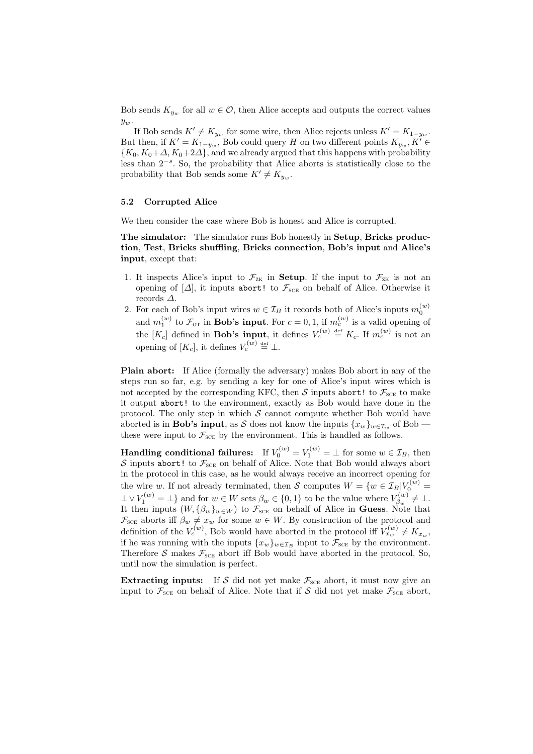Bob sends  $K_{y_w}$  for all  $w \in \mathcal{O}$ , then Alice accepts and outputs the correct values  $y_w$ .

If Bob sends  $K' \neq K_{y_w}$  for some wire, then Alice rejects unless  $K' = K_{1-y_w}$ . But then, if  $K' = K_{1-y_w}$ , Bob could query H on two different points  $K_{y_w}$ ,  $K' \in$  ${K_0, K_0+\Delta, K_0+2\Delta}$ , and we already argued that this happens with probability less than  $2^{-s}$ . So, the probability that Alice aborts is statistically close to the probability that Bob sends some  $K' \neq K_{y_w}$ .

### 5.2 Corrupted Alice

We then consider the case where Bob is honest and Alice is corrupted.

The simulator: The simulator runs Bob honestly in Setup, Bricks production, Test, Bricks shuffling, Bricks connection, Bob's input and Alice's input, except that:

- 1. It inspects Alice's input to  $\mathcal{F}_{ZK}$  in **Setup**. If the input to  $\mathcal{F}_{ZK}$  is not an opening of  $[\Delta]$ , it inputs abort! to  $\mathcal{F}_{\text{SCE}}$  on behalf of Alice. Otherwise it records ∆.
- 2. For each of Bob's input wires  $w \in \mathcal{I}_B$  it records both of Alice's inputs  $m_0^{(w)}$ and  $m_1^{(w)}$  to  $\mathcal{F}_{\text{OT}}$  in **Bob's input**. For  $c = 0, 1$ , if  $m_c^{(w)}$  is a valid opening of the  $[K_c]$  defined in **Bob's input**, it defines  $V_c^{(w)} \stackrel{\text{def}}{=} K_c$ . If  $m_c^{(w)}$  is not an opening of  $[K_c]$ , it defines  $V_c^{(w)} \stackrel{\text{def}}{=} \perp$ .

Plain abort: If Alice (formally the adversary) makes Bob abort in any of the steps run so far, e.g. by sending a key for one of Alice's input wires which is not accepted by the corresponding KFC, then S inputs abort! to  $\mathcal{F}_{\text{SCE}}$  to make it output abort! to the environment, exactly as Bob would have done in the protocol. The only step in which  $S$  cannot compute whether Bob would have aborted is in **Bob's input**, as S does not know the inputs  $\{x_w\}_{w \in \mathcal{I}_w}$  of Bob these were input to  $\mathcal{F}_{\text{SCE}}$  by the environment. This is handled as follows.

**Handling conditional failures:** If  $V_0^{(w)} = V_1^{(w)} = \bot$  for some  $w \in \mathcal{I}_B$ , then  $\mathcal S$  inputs abort! to  $\mathcal F_\text{\tiny SCE}$  on behalf of Alice. Note that Bob would always abort in the protocol in this case, as he would always receive an incorrect opening for the wire w. If not already terminated, then S computes  $W = \{w \in \mathcal{I}_B | V_0^{(w)} = \}$  $\perp \vee V_1^{(w)} = \perp$  and for  $w \in W$  sets  $\beta_w \in \{0, 1\}$  to be the value where  $V_{\beta_w}^{(w)}$  $\beta_w^{(w)} \neq \bot.$ It then inputs  $(W, \{\beta_w\}_{w \in W})$  to  $\mathcal{F}_{\text{SCE}}$  on behalf of Alice in **Guess**. Note that  $\mathcal{F}_{\text{SCE}}$  aborts iff  $\beta_w \neq x_w$  for some  $w \in W$ . By construction of the protocol and definition of the  $V_c^{(w)}$ , Bob would have aborted in the protocol iff  $V_{x_w}^{(w)} \neq K_{x_w}$ , if he was running with the inputs  $\{x_w\}_{w \in \mathcal{I}_B}$  input to  $\mathcal{F}_{\text{SCE}}$  by the environment. Therefore S makes  $\mathcal{F}_{\text{SCE}}$  abort iff Bob would have aborted in the protocol. So, until now the simulation is perfect.

**Extracting inputs:** If S did not yet make  $\mathcal{F}_{\text{SCE}}$  abort, it must now give an input to  $\mathcal{F}_{\text{SCE}}$  on behalf of Alice. Note that if S did not yet make  $\mathcal{F}_{\text{SCE}}$  abort,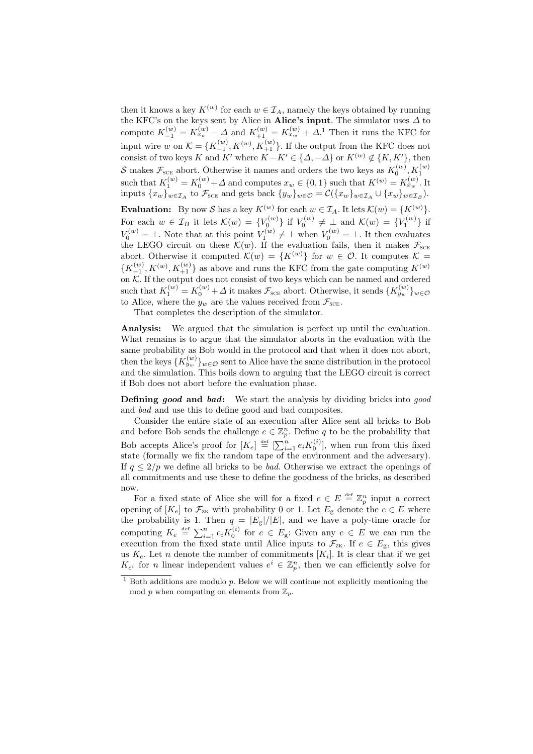then it knows a key  $K^{(w)}$  for each  $w \in \mathcal{I}_A$ , namely the keys obtained by running the KFC's on the keys sent by Alice in Alice's input. The simulator uses  $\Delta$  to compute  $K_{-1}^{(w)} = K_{x_w}^{(w)} - \Delta$  and  $K_{+1}^{(w)} = K_{x_w}^{(w)} + \Delta$ .<sup>1</sup> Then it runs the KFC for input wire w on  $\mathcal{K} = \{K_{-1}^{(w)}, K_{+1}^{(w)}, K_{+1}^{(w)}\}$ . If the output from the KFC does not consist of two keys K and K' where  $K - K' \in \{\Delta, -\Delta\}$  or  $K^{(w)} \notin \{K, K'\}$ , then S makes  $\mathcal{F}_{\text{SCE}}$  abort. Otherwise it names and orders the two keys as  $K_0^{(w)}$ ,  $K_1^{(w)}$ such that  $K_1^{(w)} = K_0^{(w)} + \Delta$  and computes  $x_w \in \{0, 1\}$  such that  $K^{(w)} = K_{x_w}^{(w)}$ . It inputs  $\{x_w\}_{w\in\mathcal{I}_A}$  to  $\mathcal{F}_{\text{SCE}}$  and gets back  $\{y_w\}_{w\in\mathcal{O}} = \mathcal{C}(\{x_w\}_{w\in\mathcal{I}_A} \cup \{x_w\}_{w\in\mathcal{I}_B}).$ 

**Evaluation:** By now S has a key  $K^{(w)}$  for each  $w \in \mathcal{I}_A$ . It lets  $\mathcal{K}(w) = \{K^{(w)}\}.$ For each  $w \in \mathcal{I}_B$  it lets  $\mathcal{K}(w) = \{V_0^{(w)}\}$  if  $V_0^{(w)} \neq \perp$  and  $\mathcal{K}(w) = \{V_1^{(w)}\}$  if  $V_0^{(w)} = \bot$ . Note that at this point  $V_1^{(w)} \neq \bot$  when  $V_0^{(w)} = \bot$ . It then evaluates the LEGO circuit on these  $\mathcal{K}(w)$ . If the evaluation fails, then it makes  $\mathcal{F}_{\text{SCE}}$ abort. Otherwise it computed  $\mathcal{K}(w) = \{K^{(w)}\}\$ for  $w \in \mathcal{O}$ . It computes  $\mathcal{K} =$  $\{K_{-1}^{(w)}, K_{+1}^{(w)}, K_{+1}^{(w)}\}$  as above and runs the KFC from the gate computing  $K^{(w)}$ on K. If the output does not consist of two keys which can be named and ordered such that  $K_1^{(w)} = K_0^{(w)} + \Delta$  it makes  $\mathcal{F}_{\text{SCE}}$  abort. Otherwise, it sends  $\{K_{y_w}^{(w)}\}_{w \in \mathcal{O}}$ to Alice, where the  $y_w$  are the values received from  $\mathcal{F}_{\text{sc}}$ .

That completes the description of the simulator.

Analysis: We argued that the simulation is perfect up until the evaluation. What remains is to argue that the simulator aborts in the evaluation with the same probability as Bob would in the protocol and that when it does not abort, then the keys  $\{K_{y_w}^{(w)}\}_{w\in\mathcal{O}}$  sent to Alice have the same distribution in the protocol and the simulation. This boils down to arguing that the LEGO circuit is correct if Bob does not abort before the evaluation phase.

**Defining good and bad:** We start the analysis by dividing bricks into good and bad and use this to define good and bad composites.

Consider the entire state of an execution after Alice sent all bricks to Bob and before Bob sends the challenge  $e \in \mathbb{Z}_p^n$ . Define q to be the probability that Bob accepts Alice's proof for  $[K_e] \stackrel{\text{def}}{=} [\sum_{i=1}^n e_i K_0^{(i)}]$ , when run from this fixed state (formally we fix the random tape of the environment and the adversary). If  $q \leq 2/p$  we define all bricks to be *bad*. Otherwise we extract the openings of all commitments and use these to define the goodness of the bricks, as described now.

For a fixed state of Alice she will for a fixed  $e \in E \stackrel{\text{def}}{=} \mathbb{Z}_p^n$  input a correct opening of  $[K_e]$  to  $\mathcal{F}_{\text{ZK}}$  with probability 0 or 1. Let  $E_g$  denote the  $e \in E$  where the probability is 1. Then  $q = |E_{g}|/|E|$ , and we have a poly-time oracle for computing  $K_e \stackrel{\text{def}}{=} \sum_{i=1}^n e_i K_0^{(i)}$  for  $e \in E_g$ : Given any  $e \in E$  we can run the execution from the fixed state until Alice inputs to  $\mathcal{F}_{\text{ZK}}$ . If  $e \in E_{\text{g}}$ , this gives us  $K_e$ . Let *n* denote the number of commitments  $[K_i]$ . It is clear that if we get  $K_{e^i}$  for *n* linear independent values  $e^i \in \mathbb{Z}_p^n$ , then we can efficiently solve for

 $1$  Both additions are modulo p. Below we will continue not explicitly mentioning the mod p when computing on elements from  $\mathbb{Z}_p$ .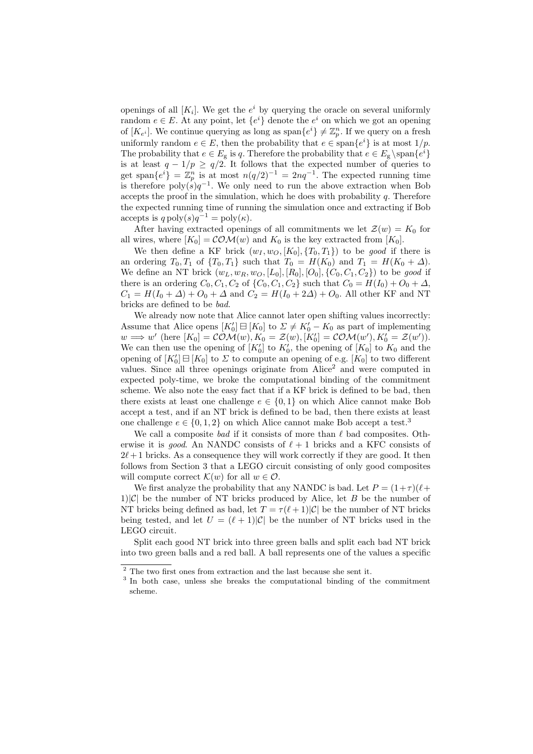openings of all  $[K_i]$ . We get the  $e^i$  by querying the oracle on several uniformly random  $e \in E$ . At any point, let  $\{e^i\}$  denote the  $e^i$  on which we got an opening of  $[K_{e^i}]$ . We continue querying as long as  $\text{span}\{e^i\} \neq \mathbb{Z}_p^n$ . If we query on a fresh uniformly random  $e \in E$ , then the probability that  $e \in \text{span}\{e^{i}\}\$ is at most  $1/p$ . The probability that  $e \in E_g$  is q. Therefore the probability that  $e \in E_g \setminus \text{span}\{e^i\}$ is at least  $q - 1/p \ge q/2$ . It follows that the expected number of queries to get span $\{e^{i}\} = \mathbb{Z}_p^n$  is at most  $n(q/2)^{-1} = 2nq^{-1}$ . The expected running time is therefore  $\text{poly}(s)q^{-1}$ . We only need to run the above extraction when Bob accepts the proof in the simulation, which he does with probability  $q$ . Therefore the expected running time of running the simulation once and extracting if Bob accepts is  $q \text{ poly}(s)q^{-1} = \text{poly}(\kappa)$ .

After having extracted openings of all commitments we let  $\mathcal{Z}(w) = K_0$  for all wires, where  $[K_0] = \mathcal{COM}(w)$  and  $K_0$  is the key extracted from  $[K_0]$ .

We then define a KF brick  $(w_I, w_O, [K_0], \{T_0, T_1\})$  to be good if there is an ordering  $T_0, T_1$  of  $\{T_0, T_1\}$  such that  $T_0 = H(K_0)$  and  $T_1 = H(K_0 + \Delta)$ . We define an NT brick  $(w_L, w_R, w_O, [L_0], [R_0], [O_0], \{C_0, C_1, C_2\})$  to be good if there is an ordering  $C_0, C_1, C_2$  of  $\{C_0, C_1, C_2\}$  such that  $C_0 = H(I_0) + O_0 + \Delta$ ,  $C_1 = H(I_0 + \Delta) + O_0 + \Delta$  and  $C_2 = H(I_0 + 2\Delta) + O_0$ . All other KF and NT bricks are defined to be bad.

We already now note that Alice cannot later open shifting values incorrectly: Assume that Alice opens  $[K'_0] \boxminus [K_0]$  to  $\Sigma \neq K'_0 - K_0$  as part of implementing  $w \implies w'$  (here  $[K_0] = \mathcal{COM}(w), K_0 = \mathcal{Z}(w), [K'_0] = \mathcal{COM}(w'), K'_0 = \mathcal{Z}(w')).$ We can then use the opening of  $[K'_0]$  to  $K'_0$ , the opening of  $[K_0]$  to  $K_0$  and the opening of  $[K'_0] \boxminus [K_0]$  to  $\Sigma$  to compute an opening of e.g.  $[K_0]$  to two different values. Since all three openings originate from Alice<sup>2</sup> and were computed in expected poly-time, we broke the computational binding of the commitment scheme. We also note the easy fact that if a KF brick is defined to be bad, then there exists at least one challenge  $e \in \{0, 1\}$  on which Alice cannot make Bob accept a test, and if an NT brick is defined to be bad, then there exists at least one challenge  $e \in \{0, 1, 2\}$  on which Alice cannot make Bob accept a test.<sup>3</sup>

We call a composite bad if it consists of more than  $\ell$  bad composites. Otherwise it is *good*. An NANDC consists of  $\ell + 1$  bricks and a KFC consists of  $2\ell + 1$  bricks. As a consequence they will work correctly if they are good. It then follows from Section 3 that a LEGO circuit consisting of only good composites will compute correct  $\mathcal{K}(w)$  for all  $w \in \mathcal{O}$ .

We first analyze the probability that any NANDC is bad. Let  $P = (1+\tau)(\ell+\tau)$ 1)|C| be the number of NT bricks produced by Alice, let B be the number of NT bricks being defined as bad, let  $T = \tau(\ell + 1)|\mathcal{C}|$  be the number of NT bricks being tested, and let  $U = (\ell + 1)|C|$  be the number of NT bricks used in the LEGO circuit.

Split each good NT brick into three green balls and split each bad NT brick into two green balls and a red ball. A ball represents one of the values a specific

 $^{\rm 2}$  The two first ones from extraction and the last because she sent it.

<sup>&</sup>lt;sup>3</sup> In both case, unless she breaks the computational binding of the commitment scheme.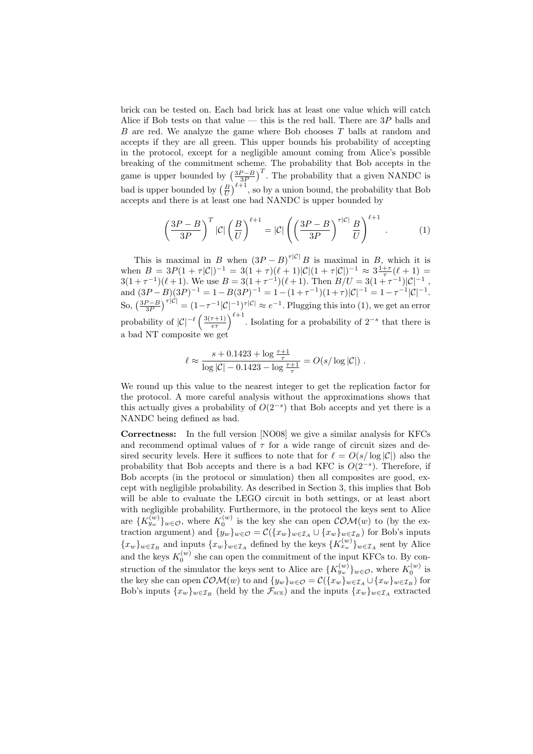brick can be tested on. Each bad brick has at least one value which will catch Alice if Bob tests on that value — this is the red ball. There are  $3P$  balls and B are red. We analyze the game where Bob chooses T balls at random and accepts if they are all green. This upper bounds his probability of accepting in the protocol, except for a negligible amount coming from Alice's possible breaking of the commitment scheme. The probability that Bob accepts in the game is upper bounded by  $\left(\frac{3P-B}{3P}\right)$ game is upper bounded by  $\left(\frac{B}{U}\right)^{\ell+1}$ . The probability that a given NANDC is bad is upper bounded by  $\left(\frac{B}{U}\right)^{\ell+1}$ , so by a union bound, the probability that Bob accepts and there is at least one bad NANDC is upper bounded by

$$
\left(\frac{3P-B}{3P}\right)^T |\mathcal{C}| \left(\frac{B}{U}\right)^{\ell+1} = |\mathcal{C}| \left(\left(\frac{3P-B}{3P}\right)^{\tau |\mathcal{C}|} \frac{B}{U}\right)^{\ell+1} . \tag{1}
$$

This is maximal in B when  $(3P - B)^{\tau |C|} B$  is maximal in B, which it is when  $B = 3P(1 + \tau|\mathcal{C}|)^{-1} = 3(1 + \tau)(\ell+1)|\mathcal{C}|(1 + \tau|\mathcal{C}|)^{-1} \approx 3\frac{1+\tau}{\tau}(\ell+1) =$  $3(1+\tau^{-1})(\ell+1)$ . We use  $B = 3(1+\tau^{-1})(\ell+1)$ . Then  $B/U = 3(1+\tau^{-1})|\mathcal{C}|^{-1}$ , and  $(3P - B)(3P)^{-1} = 1 - B(3P)^{-1} = 1 - (1 + \tau^{-1})(1 + \tau)|\mathcal{C}|^{-1} = 1 - \tau^{-1}|\mathcal{C}|^{-1}.$ So,  $\left(\frac{3P-B}{3P}\right)^{\tau|C|} = (1-\tau^{-1}|C|^{-1})^{\tau|C|} \approx e^{-1}$ . Plugging this into (1), we get an error probability of  $|\mathcal{C}|^{-\ell}$  $(3(\tau+1))$  $\left(\frac{r+1}{e\tau}\right)^{\ell+1}$ . Isolating for a probability of  $2^{-s}$  that there is a bad NT composite we get

$$
\ell \approx \frac{s + 0.1423 + \log \frac{\tau + 1}{\tau}}{\log |\mathcal{C}| - 0.1423 - \log \frac{\tau + 1}{\tau}} = O(s/\log |\mathcal{C}|) .
$$

We round up this value to the nearest integer to get the replication factor for the protocol. A more careful analysis without the approximations shows that this actually gives a probability of  $O(2^{-s})$  that Bob accepts and yet there is a NANDC being defined as bad.

Correctness: In the full version [NO08] we give a similar analysis for KFCs and recommend optimal values of  $\tau$  for a wide range of circuit sizes and desired security levels. Here it suffices to note that for  $\ell = O(s / \log |\mathcal{C}|)$  also the probability that Bob accepts and there is a bad KFC is  $O(2^{-s})$ . Therefore, if Bob accepts (in the protocol or simulation) then all composites are good, except with negligible probability. As described in Section 3, this implies that Bob will be able to evaluate the LEGO circuit in both settings, or at least abort with negligible probability. Furthermore, in the protocol the keys sent to Alice are  $\{K_{y_w}^{(w)}\}_{w\in\mathcal{O}}$ , where  $K_0^{(w)}$  is the key she can open  $\mathcal{COM}(w)$  to (by the extraction argument) and  $\{y_w\}_{w \in \mathcal{O}} = \mathcal{C}(\{x_w\}_{w \in \mathcal{I}_A} \cup \{x_w\}_{w \in \mathcal{I}_B})$  for Bob's inputs  ${x_w}_{w \in \mathcal{I}_B}$  and inputs  ${x_w}_{w \in \mathcal{I}_A}$  defined by the keys  ${K_{x_w}^{(w)}}_{w \in \mathcal{I}_A}$  sent by Alice and the keys  $K_0^{(w)}$  she can open the commitment of the input KFCs to. By construction of the simulator the keys sent to Alice are  $\{K_{y_w}^{(w)}\}_{w \in \mathcal{O}}$ , where  $K_0^{(w)}$  is the key she can open  $\mathcal{COM}(w)$  to and  $\{y_w\}_{w \in \mathcal{O}} = \mathcal{C}(\{x_w\}_{w \in \mathcal{I}_A} \cup \{x_w\}_{w \in \mathcal{I}_B})$  for Bob's inputs  $\{x_w\}_{w\in\mathcal{I}_B}$  (held by the  $\mathcal{F}_{\text{SCE}}$ ) and the inputs  $\{x_w\}_{w\in\mathcal{I}_A}$  extracted